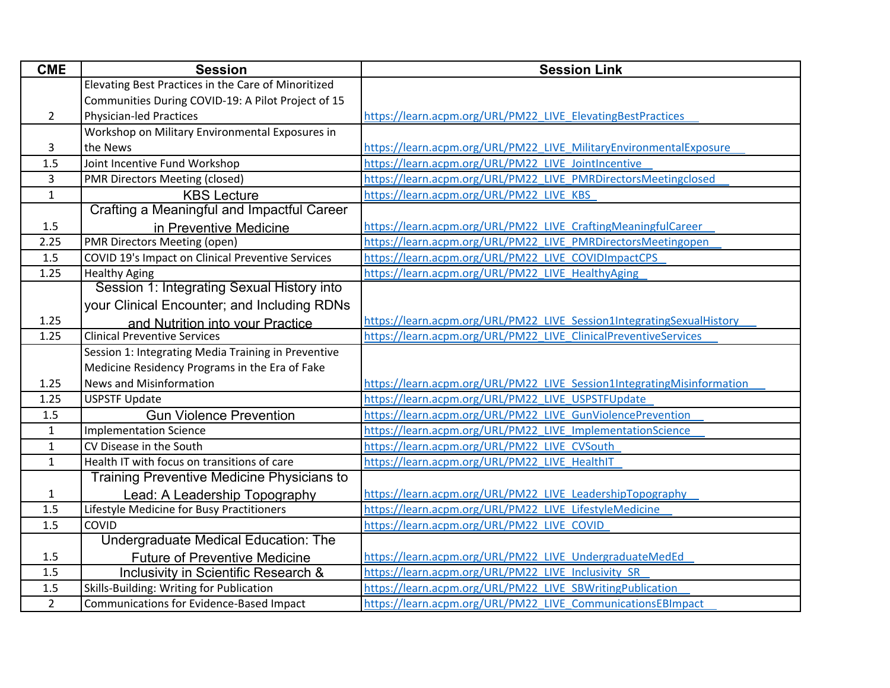| <b>CME</b>   | <b>Session</b>                                      | <b>Session Link</b>                                                    |
|--------------|-----------------------------------------------------|------------------------------------------------------------------------|
|              | Elevating Best Practices in the Care of Minoritized |                                                                        |
|              | Communities During COVID-19: A Pilot Project of 15  |                                                                        |
| $2^{\circ}$  | <b>Physician-led Practices</b>                      | https://learn.acpm.org/URL/PM22 LIVE ElevatingBestPractices            |
|              | Workshop on Military Environmental Exposures in     |                                                                        |
| 3            | the News                                            | https://learn.acpm.org/URL/PM22 LIVE MilitaryEnvironmentalExposure     |
| 1.5          | Joint Incentive Fund Workshop                       | https://learn.acpm.org/URL/PM22 LIVE JointIncentive                    |
| 3            | <b>PMR Directors Meeting (closed)</b>               | https://learn.acpm.org/URL/PM22 LIVE PMRDirectorsMeetingclosed         |
| $\mathbf{1}$ | <b>KBS Lecture</b>                                  | https://learn.acpm.org/URL/PM22 LIVE KBS                               |
|              | <b>Crafting a Meaningful and Impactful Career</b>   |                                                                        |
| 1.5          | in Preventive Medicine                              | https://learn.acpm.org/URL/PM22 LIVE CraftingMeaningfulCareer          |
| 2.25         | PMR Directors Meeting (open)                        | https://learn.acpm.org/URL/PM22_LIVE_PMRDirectorsMeetingopen           |
| 1.5          | COVID 19's Impact on Clinical Preventive Services   | https://learn.acpm.org/URL/PM22 LIVE COVIDImpactCPS                    |
| 1.25         | <b>Healthy Aging</b>                                | https://learn.acpm.org/URL/PM22 LIVE HealthyAging                      |
|              | Session 1: Integrating Sexual History into          |                                                                        |
|              | your Clinical Encounter; and Including RDNs         |                                                                        |
| 1.25         | and Nutrition into your Practice                    | https://learn.acpm.org/URL/PM22 LIVE Session1IntegratingSexualHistory  |
| 1.25         | <b>Clinical Preventive Services</b>                 | https://learn.acpm.org/URL/PM22 LIVE ClinicalPreventiveServices        |
|              | Session 1: Integrating Media Training in Preventive |                                                                        |
|              | Medicine Residency Programs in the Era of Fake      |                                                                        |
| 1.25         | <b>News and Misinformation</b>                      | https://learn.acpm.org/URL/PM22 LIVE Session1IntegratingMisinformation |
| 1.25         | <b>USPSTF Update</b>                                | https://learn.acpm.org/URL/PM22 LIVE USPSTFUpdate                      |
| 1.5          | <b>Gun Violence Prevention</b>                      | https://learn.acpm.org/URL/PM22 LIVE GunViolencePrevention             |
| $\mathbf{1}$ | <b>Implementation Science</b>                       | https://learn.acpm.org/URL/PM22 LIVE ImplementationScience             |
| $\mathbf{1}$ | CV Disease in the South                             | https://learn.acpm.org/URL/PM22 LIVE CVSouth                           |
| $\mathbf{1}$ | Health IT with focus on transitions of care         | https://learn.acpm.org/URL/PM22 LIVE HealthIT                          |
|              | <b>Training Preventive Medicine Physicians to</b>   |                                                                        |
| $\mathbf{1}$ | Lead: A Leadership Topography                       | https://learn.acpm.org/URL/PM22 LIVE LeadershipTopography              |
| 1.5          | Lifestyle Medicine for Busy Practitioners           | https://learn.acpm.org/URL/PM22 LIVE LifestyleMedicine                 |
| 1.5          | COVID                                               | https://learn.acpm.org/URL/PM22 LIVE COVID                             |
|              | Undergraduate Medical Education: The                |                                                                        |
| 1.5          | <b>Future of Preventive Medicine</b>                | https://learn.acpm.org/URL/PM22 LIVE UndergraduateMedEd                |
| 1.5          | Inclusivity in Scientific Research &                | https://learn.acpm.org/URL/PM22 LIVE Inclusivity SR                    |
| 1.5          | Skills-Building: Writing for Publication            | https://learn.acpm.org/URL/PM22 LIVE SBWritingPublication              |
| $2^{\circ}$  | Communications for Evidence-Based Impact            | https://learn.acpm.org/URL/PM22 LIVE CommunicationsEBImpact            |